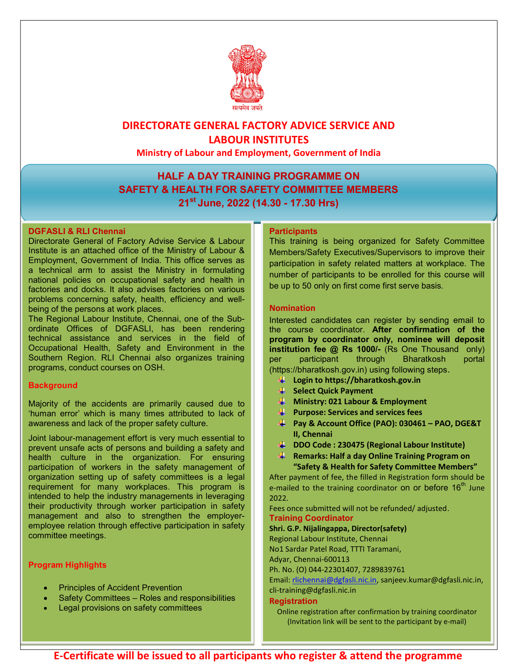

## DIRECTORATE GENERAL FACTORY ADVICE SERVICE AND LABOUR INSTITUTES

Ministry of Labour and Employment, Government of India

## HALF A DAY TRAINING PROGRAMME ON SAFETY & HEALTH FOR SAFETY COMMITTEE MEMBERS 21<sup>st</sup> June, 2022 (14.30 - 17.30 Hrs)

#### DGFASLI & RLI Chennai

Directorate General of Factory Advise Service & Labour Institute is an attached office of the Ministry of Labour & Employment, Government of India. This office serves as a technical arm to assist the Ministry in formulating national policies on occupational safety and health in factories and docks. It also advises factories on various problems concerning safety, health, efficiency and wellbeing of the persons at work places.

The Regional Labour Institute, Chennai, one of the Subordinate Offices of DGFASLI, has been rendering technical assistance and services in the field of Occupational Health, Safety and Environment in the Southern Region. RLI Chennai also organizes training programs, conduct courses on OSH.

#### **Background**

Majority of the accidents are primarily caused due to 'human error' which is many times attributed to lack of awareness and lack of the proper safety culture.

Joint labour-management effort is very much essential to prevent unsafe acts of persons and building a safety and health culture in the organization. For ensuring participation of workers in the safety management of organization setting up of safety committees is a legal requirement for many workplaces. This program is intended to help the industry managements in leveraging their productivity through worker participation in safety management and also to strengthen the employeremployee relation through effective participation in safety committee meetings.

### Program Highlights

- Principles of Accident Prevention
- Safety Committees Roles and responsibilities
- Legal provisions on safety committees

#### **Participants**

This training is being organized for Safety Committee Members/Safety Executives/Supervisors to improve their participation in safety related matters at workplace. The number of participants to be enrolled for this course will be up to 50 only on first come first serve basis.

#### Nomination

Interested candidates can register by sending email to the course coordinator. After confirmation of the program by coordinator only, nominee will deposit institution fee @ Rs 1000/- (Rs One Thousand only) per participant through Bharatkosh portal (https://bharatkosh.gov.in) using following steps.

- **Login to https://bharatkosh.gov.in**
- Select Quick Payment
- $\downarrow$  Ministry: 021 Labour & Employment
- $\blacktriangleq$  Purpose: Services and services fees
- $\overline{\text{4}}$  Pay & Account Office (PAO): 030461 PAO, DGE&T II, Chennai
- **DDO Code: 230475 (Regional Labour Institute)**
- **F** Remarks: Half a day Online Training Program on "Safety & Health for Safety Committee Members"

After payment of fee, the filled in Registration form should be e-mailed to the training coordinator on or before  $16<sup>th</sup>$  June 2022.

Fees once submitted will not be refunded/ adjusted. Training Coordinator

Shri. G.P. Nijalingappa, Director(safety)

Regional Labour Institute, Chennai

No1 Sardar Patel Road, TTTI Taramani,

Adyar, Chennai-600113

Ph. No. (O) 044-22301407, 7289839761

Email: rlichennai@dgfasli.nic.in, sanjeev.kumar@dgfasli.nic.in,

cli-training@dgfasli.nic.in

#### **Registration**

Online registration after confirmation by training coordinator (Invitation link will be sent to the participant by e-mail)

E-Certificate will be issued to all participants who register & attend the programme